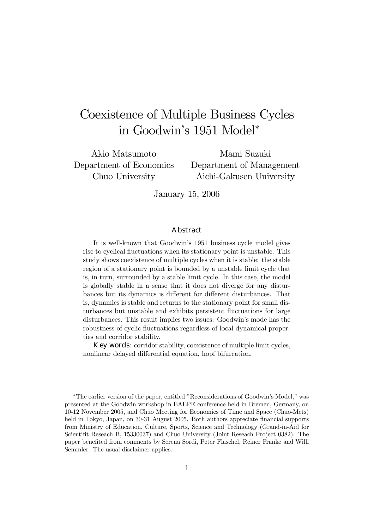# Coexistence of Multiple Business Cycles in Goodwin's 1951 Model<sup>∗</sup>

Akio Matsumoto Department of Economics Chuo University

Mami Suzuki Department of Management Aichi-Gakusen University

January 15, 2006

#### Abstract

It is well-known that Goodwin's 1951 business cycle model gives rise to cyclical fluctuations when its stationary point is unstable. This study shows coexistence of multiple cycles when it is stable: the stable region of a stationary point is bounded by a unstable limit cycle that is, in turn, surrounded by a stable limit cycle. In this case, the model is globally stable in a sense that it does not diverge for any disturbances but its dynamics is different for different disturbances. That is, dynamics is stable and returns to the stationary point for small disturbances but unstable and exhibits persistent fluctuations for large disturbances. This result implies two issues: Goodwin's mode has the robustness of cyclic fluctuations regardless of local dynamical properties and corridor stability.

Key words: corridor stability, coexistence of multiple limit cycles, nonlinear delayed differential equation, hopf bifurcation.

<sup>∗</sup>The earlier version of the paper, entitled "Reconsiderations of Goodwin's Model," was presented at the Goodwin workshop in EAEPE conference held in Bremen, Germany, on 10-12 November 2005, and Chuo Meeting for Economics of Time and Space (Chuo-Mets) held in Tokyo, Japan, on 30-31 August 2005. Both authors appreciate financial supports from Ministry of Education, Culture, Sports, Science and Technology (Grand-in-Aid for Scientifit Reseach B, 15330037) and Chuo University (Joint Reseach Project 0382). The paper benefited from comments by Serena Sordi, Peter Flaschel, Reiner Franke and Willi Semmler. The usual disclaimer applies.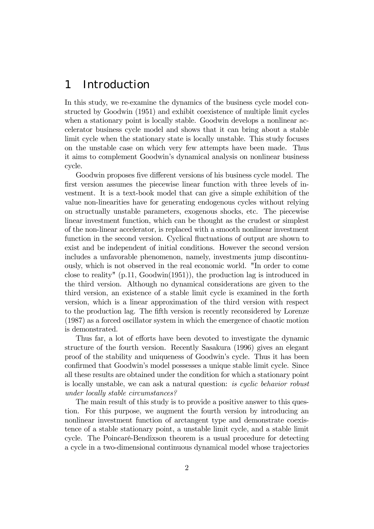## 1 Introduction

In this study, we re-examine the dynamics of the business cycle model constructed by Goodwin (1951) and exhibit coexistence of multiple limit cycles when a stationary point is locally stable. Goodwin develops a nonlinear accelerator business cycle model and shows that it can bring about a stable limit cycle when the stationary state is locally unstable. This study focuses on the unstable case on which very few attempts have been made. Thus it aims to complement Goodwin's dynamical analysis on nonlinear business cycle.

Goodwin proposes five different versions of his business cycle model. The first version assumes the piecewise linear function with three levels of investment. It is a text-book model that can give a simple exhibition of the value non-linearities have for generating endogenous cycles without relying on structually unstable parameters, exogenous shocks, etc. The piecewise linear investment function, which can be thought as the crudest or simplest of the non-linear accelerator, is replaced with a smooth nonlinear investment function in the second version. Cyclical fluctuations of output are shown to exist and be independent of initial conditions. However the second version includes a unfavorable phenomenon, namely, investments jump discontinuously, which is not observed in the real economic world. "In order to come close to reality" (p.11, Goodwin(1951)), the production lag is introduced in the third version. Although no dynamical considerations are given to the third version, an existence of a stable limit cycle is examined in the forth version, which is a linear approximation of the third version with respect to the production lag. The fifth version is recently reconsidered by Lorenze (1987) as a forced oscillator system in which the emergence of chaotic motion is demonstrated.

Thus far, a lot of efforts have been devoted to investigate the dynamic structure of the fourth version. Recently Sasakura (1996) gives an elegant proof of the stability and uniqueness of Goodwin's cycle. Thus it has been confirmed that Goodwin's model possesses a unique stable limit cycle. Since all these results are obtained under the condition for which a stationary point is locally unstable, we can ask a natural question: is cyclic behavior robust under locally stable circumstances?

The main result of this study is to provide a positive answer to this question. For this purpose, we augment the fourth version by introducing an nonlinear investment function of arctangent type and demonstrate coexistence of a stable stationary point, a unstable limit cycle, and a stable limit cycle. The Poincaré-Bendixson theorem is a usual procedure for detecting a cycle in a two-dimensional continuous dynamical model whose trajectories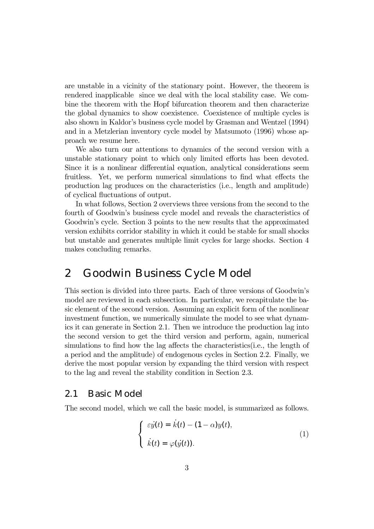are unstable in a vicinity of the stationary point. However, the theorem is rendered inapplicable since we deal with the local stability case. We combine the theorem with the Hopf bifurcation theorem and then characterize the global dynamics to show coexistence. Coexistence of multiple cycles is also shown in Kaldor's business cycle model by Grasman and Wentzel (1994) and in a Metzlerian inventory cycle model by Matsumoto (1996) whose approach we resume here.

We also turn our attentions to dynamics of the second version with a unstable stationary point to which only limited efforts has been devoted. Since it is a nonlinear differential equation, analytical considerations seem fruitless. Yet, we perform numerical simulations to find what effects the production lag produces on the characteristics (i.e., length and amplitude) of cyclical fluctuations of output.

In what follows, Section 2 overviews three versions from the second to the fourth of Goodwin's business cycle model and reveals the characteristics of Goodwin's cycle. Section 3 points to the new results that the approximated version exhibits corridor stability in which it could be stable for small shocks but unstable and generates multiple limit cycles for large shocks. Section 4 makes concluding remarks.

## 2 Goodwin Business Cycle Model

This section is divided into three parts. Each of three versions of Goodwin's model are reviewed in each subsection. In particular, we recapitulate the basic element of the second version. Assuming an explicit form of the nonlinear investment function, we numerically simulate the model to see what dynamics it can generate in Section 2.1. Then we introduce the production lag into the second version to get the third version and perform, again, numerical simulations to find how the lag affects the characteristics(i.e., the length of a period and the amplitude) of endogenous cycles in Section 2.2. Finally, we derive the most popular version by expanding the third version with respect to the lag and reveal the stability condition in Section 2.3.

### 2.1 Basic Model

The second model, which we call the basic model, is summarized as follows.

$$
\begin{cases}\n\varepsilon \dot{y}(t) = \dot{k}(t) - (1 - \alpha) y(t), \\
\dot{k}(t) = \varphi(\dot{y}(t)).\n\end{cases} (1)
$$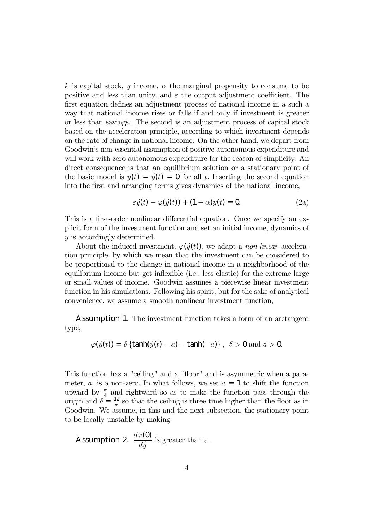k is capital stock, y income,  $\alpha$  the marginal propensity to consume to be positive and less than unity, and  $\varepsilon$  the output adjustment coefficient. The first equation defines an adjustment process of national income in a such a way that national income rises or falls if and only if investment is greater or less than savings. The second is an adjustment process of capital stock based on the acceleration principle, according to which investment depends on the rate of change in national income. On the other hand, we depart from Goodwin's non-essential assumption of positive autonomous expenditure and will work with zero-autonomous expenditure for the reason of simplicity. An direct consequence is that an equilibrium solution or a stationary point of the basic model is  $y(t) = \dot{y}(t) = 0$  for all t. Inserting the second equation into the first and arranging terms gives dynamics of the national income,

$$
\varepsilon y(t) - \varphi(y(t)) + (1 - \alpha)y(t) = 0. \tag{2a}
$$

This is a first-order nonlinear differential equation. Once we specify an explicit form of the investment function and set an initial income, dynamics of y is accordingly determined.

About the induced investment,  $\varphi(y(t))$ , we adapt a *non-linear* acceleration principle, by which we mean that the investment can be considered to be proportional to the change in national income in a neighborhood of the equilibrium income but get inflexible (i.e., less elastic) for the extreme large or small values of income. Goodwin assumes a piecewise linear investment function in his simulations. Following his spirit, but for the sake of analytical convenience, we assume a smooth nonlinear investment function;

Assumption 1. The investment function takes a form of an arctangent type,

$$
\varphi(y(t)) = \delta \left\{ \tanh(y(t) - a) - \tanh(-a) \right\}, \ \delta > 0 \text{ and } a > 0.
$$

This function has a "ceiling" and a "floor" and is asymmetric when a parameter, a, is a non-zero. In what follows, we set  $a = 1$  to shift the function upward by  $\frac{\pi}{4}$  and rightward so as to make the function pass through the origin and  $\delta = \frac{12}{\pi}$  so that the ceiling is three time higher than the floor as in Goodwin. We assume, in this and the next subsection, the stationary point to be locally unstable by making

**Assumption 2.** 
$$
\frac{d\varphi(0)}{dy}
$$
 is greater than  $\varepsilon$ .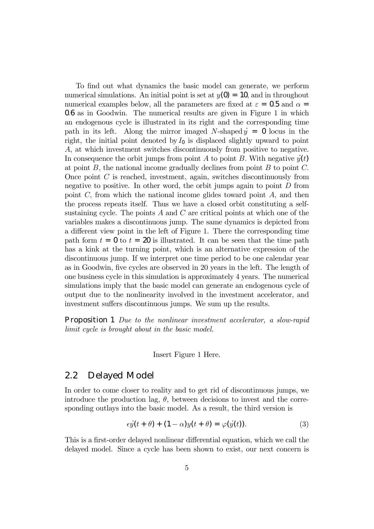To find out what dynamics the basic model can generate, we perform numerical simulations. An initial point is set at  $y(0) = 10$ , and in throughout numerical examples below, all the parameters are fixed at  $\varepsilon = 0.5$  and  $\alpha =$ 0.6 as in Goodwin. The numerical results are given in Figure 1 in which an endogenous cycle is illustrated in its right and the corresponding time path in its left. Along the mirror imaged N-shaped  $y = 0$  locus in the right, the initial point denoted by  $I_0$  is displaced slightly upward to point A, at which investment switches discontinuously from positive to negative. In consequence the orbit jumps from point A to point B. With negative  $y(t)$ at point  $B$ , the national income gradually declines from point  $B$  to point  $C$ . Once point C is reached, investment, again, switches discontinuously from negative to positive. In other word, the orbit jumps again to point  $D$  from point  $C$ , from which the national income glides toward point  $A$ , and then the process repeats itself. Thus we have a closed orbit constituting a selfsustaining cycle. The points  $A$  and  $C$  are critical points at which one of the variables makes a discontinuous jump. The same dynamics is depicted from a different view point in the left of Figure 1. There the corresponding time path form  $t = 0$  to  $t = 20$  is illustrated. It can be seen that the time path has a kink at the turning point, which is an alternative expression of the discontinuous jump. If we interpret one time period to be one calendar year as in Goodwin, five cycles are observed in 20 years in the left. The length of one business cycle in this simulation is approximately 4 years. The numerical simulations imply that the basic model can generate an endogenous cycle of output due to the nonlinearity involved in the investment accelerator, and investment suffers discontinuous jumps. We sum up the results.

Proposition 1 Due to the nonlinear investment accelerator, a slow-rapid limit cycle is brought about in the basic model.

Insert Figure 1 Here.

### 2.2 Delayed Model

In order to come closer to reality and to get rid of discontinuous jumps, we introduce the production lag,  $\theta$ , between decisions to invest and the corresponding outlays into the basic model. As a result, the third version is

$$
\epsilon \dot{y}(t+\theta) + (1-\alpha)y(t+\theta) = \varphi(\dot{y}(t)). \tag{3}
$$

This is a first-order delayed nonlinear differential equation, which we call the delayed model. Since a cycle has been shown to exist, our next concern is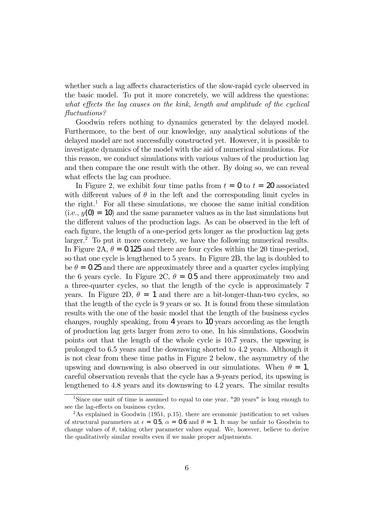whether such a lag affects characteristics of the slow-rapid cycle observed in the basic model. To put it more concretely, we will address the questions: what effects the lag causes on the kink, length and amplitude of the cyclical fluctuations?

Goodwin refers nothing to dynamics generated by the delayed model. Furthermore, to the best of our knowledge, any analytical solutions of the delayed model are not successfully constructed yet. However, it is possible to investigate dynamics of the model with the aid of numerical simulations. For this reason, we conduct simulations with various values of the production lag and then compare the one result with the other. By doing so, we can reveal what effects the lag can produce.

In Figure 2, we exhibit four time paths from  $t = 0$  to  $t = 20$  associated with different values of  $\theta$  in the left and the corresponding limit cycles in the right.<sup>1</sup> For all these simulations, we choose the same initial condition  $(i.e., y(0) = 10)$  and the same parameter values as in the last simulations but the different values of the production lags. As can be observed in the left of each figure, the length of a one-period gets longer as the production lag gets larger.<sup>2</sup> To put it more concretely, we have the following numerical results. In Figure 2A,  $\theta = 0.125$  and there are four cycles within the 20 time-period, so that one cycle is lengthened to 5 years. In Figure 2B, the lag is doubled to be  $\theta = 0.25$  and there are approximately three and a quarter cycles implying the 6 years cycle. In Figure 2C,  $\theta = 0.5$  and there approximately two and a three-quarter cycles, so that the length of the cycle is approximately 7 years. In Figure 2D,  $\theta = 1$  and there are a bit-longer-than-two cycles, so that the length of the cycle is 9 years or so. It is found from these simulation results with the one of the basic model that the length of the business cycles changes, roughly speaking, from 4 years to 10 years according as the length of production lag gets larger from zero to one. In his simulations, Goodwin points out that the length of the whole cycle is 10.7 years, the upswing is prolonged to 6.5 years and the downswing shorted to 4.2 years. Although it is not clear from these time paths in Figure 2 below, the asymmetry of the upswing and downswing is also observed in our simulations. When  $\theta = 1$ , careful observation reveals that the cycle has a 9-years period, its upswing is lengthened to 4.8 years and its downswing to 4.2 years. The similar results

<sup>&</sup>lt;sup>1</sup>Since one unit of time is assumed to equal to one year, "20 years" is long enough to see the lag-effects on business cycles.

 $2$ As explained in Goodwin (1951, p.15), there are economic justification to set values of structural parameters at  $\epsilon = 0.5$ ,  $\alpha = 0.6$  and  $\theta = 1$ . It may be unfair to Goodwin to change values of  $\theta$ , taking other parameter values equal. We, however, believe to derive the qualitatively similar results even if we make proper adjustments.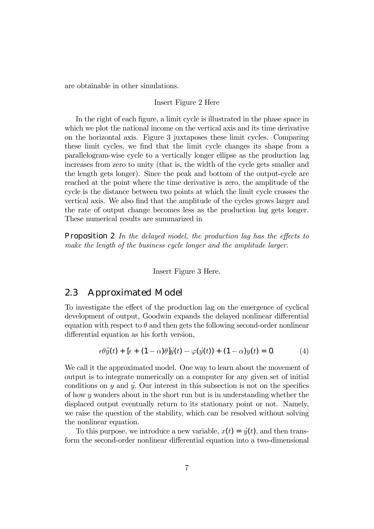are obtainable in other simulations.

#### Insert Figure 2 Here

In the right of each figure, a limit cycle is illustrated in the phase space in which we plot the national income on the vertical axis and its time derivative on the horizontal axis. Figure 3 juxtaposes these limit cycles. Comparing these limit cycles, we find that the limit cycle changes its shape from a parallelogram-wise cycle to a vertically longer ellipse as the production lag increases from zero to unity (that is, the width of the cycle gets smaller and the length gets longer). Since the peak and bottom of the output-cycle are reached at the point where the time derivative is zero, the amplitude of the cycle is the distance between two points at which the limit cycle crosses the vertical axis. We also find that the amplitude of the cycles grows larger and the rate of output change becomes less as the production lag gets longer. These numerical results are summarized in

**Proposition 2** In the delayed model, the production lag has the effects to make the length of the business cycle longer and the amplitude larger.

Insert Figure 3 Here.

### 2.3 Approximated Model

To investigate the effect of the production lag on the emergence of cyclical development of output, Goodwin expands the delayed nonlinear differential equation with respect to  $\theta$  and then gets the following second-order nonlinear differential equation as his forth version,

$$
\epsilon \theta \ddot{y}(t) + [\epsilon + (1 - \alpha)\theta] \dot{y}(t) - \varphi(\dot{y}(t)) + (1 - \alpha)y(t) = 0. \tag{4}
$$

We call it the approximated model. One way to learn about the movement of output is to integrate numerically on a computer for any given set of initial conditions on y and y. Our interest in this subsection is not on the specifics of how  $y$  wonders about in the short run but is in understanding whether the displaced output eventually return to its stationary point or not. Namely, we raise the question of the stability, which can be resolved without solving the nonlinear equation.

To this purpose, we introduce a new variable,  $x(t)=\dot{y}(t)$ , and then transform the second-order nonlinear differential equation into a two-dimensional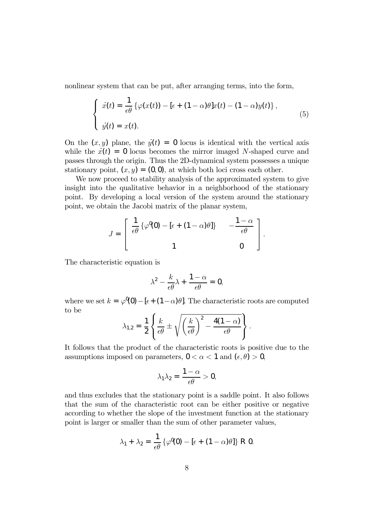nonlinear system that can be put, after arranging terms, into the form,

$$
\begin{cases}\n\dot{x}(t) = \frac{1}{\epsilon \theta} \left\{ \varphi(x(t)) - [\epsilon + (1 - \alpha)\theta]x(t) - (1 - \alpha)y(t) \right\}, \\
\dot{y}(t) = x(t).\n\end{cases} \tag{5}
$$

On the  $(x, y)$  plane, the  $y(t) = 0$  locus is identical with the vertical axis while the  $\dot{x}(t)=0$  locus becomes the mirror imaged N-shaped curve and passes through the origin. Thus the 2D-dynamical system possesses a unique stationary point,  $(x, y) = (0, 0)$ , at which both loci cross each other.

We now proceed to stability analysis of the approximated system to give insight into the qualitative behavior in a neighborhood of the stationary point. By developing a local version of the system around the stationary point, we obtain the Jacobi matrix of the planar system,

$$
J = \begin{bmatrix} \frac{1}{\epsilon \theta} \left\{ \varphi^{\theta}(0) - [\epsilon + (1 - \alpha)\theta] \right\} & -\frac{1 - \alpha}{\epsilon \theta} \\ 1 & 0 \end{bmatrix}.
$$

The characteristic equation is

$$
\lambda^2 - \frac{k}{\epsilon \theta} \lambda + \frac{1 - \alpha}{\epsilon \theta} = 0,
$$

where we set  $k = \varphi^0(0) - [\epsilon + (1 - \alpha)\theta]$ . The characteristic roots are computed to be

$$
\lambda_{1,2} = \frac{1}{2} \left\{ \frac{k}{\epsilon \theta} \pm \sqrt{\left(\frac{k}{\epsilon \theta}\right)^2 - \frac{4(1-\alpha)}{\epsilon \theta}} \right\}.
$$

It follows that the product of the characteristic roots is positive due to the assumptions imposed on parameters,  $0 < \alpha < 1$  and  $(\epsilon, \theta) > 0$ ,

$$
\lambda_1\lambda_2=\frac{1-\alpha}{\epsilon\theta}>0,
$$

and thus excludes that the stationary point is a saddle point. It also follows that the sum of the characteristic root can be either positive or negative according to whether the slope of the investment function at the stationary point is larger or smaller than the sum of other parameter values,

$$
\lambda_1 + \lambda_2 = \frac{1}{\epsilon \theta} \left\{ \varphi^0(0) - \left[ \epsilon + (1 - \alpha) \theta \right] \right\} \, R \, 0.
$$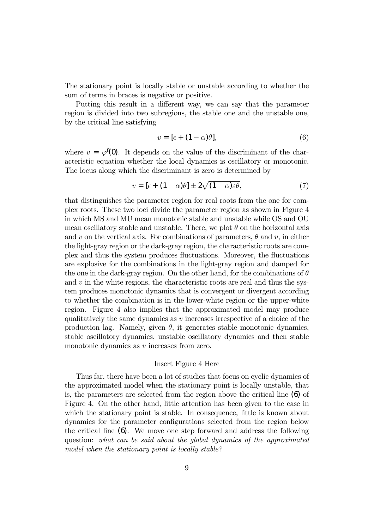The stationary point is locally stable or unstable according to whether the sum of terms in braces is negative or positive.

Putting this result in a different way, we can say that the parameter region is divided into two subregions, the stable one and the unstable one, by the critical line satisfying

$$
v = [\epsilon + (1 - \alpha)\theta], \tag{6}
$$

where  $v = \varphi^0(0)$ . It depends on the value of the discriminant of the characteristic equation whether the local dynamics is oscillatory or monotonic. The locus along which the discriminant is zero is determined by

$$
v = \left[\epsilon + (1 - \alpha)\theta\right] \pm 2\sqrt{(1 - \alpha)\varepsilon\theta},\tag{7}
$$

that distinguishes the parameter region for real roots from the one for complex roots. These two loci divide the parameter region as shown in Figure 4 in which MS and MU mean monotonic stable and unstable while OS and OU mean oscillatory stable and unstable. There, we plot  $\theta$  on the horizontal axis and v on the vertical axis. For combinations of parameters,  $\theta$  and v, in either the light-gray region or the dark-gray region, the characteristic roots are complex and thus the system produces fluctuations. Moreover, the fluctuations are explosive for the combinations in the light-gray region and damped for the one in the dark-gray region. On the other hand, for the combinations of  $\theta$ and  $v$  in the white regions, the characteristic roots are real and thus the system produces monotonic dynamics that is convergent or divergent according to whether the combination is in the lower-white region or the upper-white region. Figure 4 also implies that the approximated model may produce qualitatively the same dynamics as  $v$  increases irrespective of a choice of the production lag. Namely, given  $\theta$ , it generates stable monotonic dynamics, stable oscillatory dynamics, unstable oscillatory dynamics and then stable monotonic dynamics as  $v$  increases from zero.

#### Insert Figure 4 Here

Thus far, there have been a lot of studies that focus on cyclic dynamics of the approximated model when the stationary point is locally unstable, that is, the parameters are selected from the region above the critical line (6) of Figure 4. On the other hand, little attention has been given to the case in which the stationary point is stable. In consequence, little is known about dynamics for the parameter configurations selected from the region below the critical line (6). We move one step forward and address the following question: what can be said about the global dynamics of the approximated model when the stationary point is locally stable?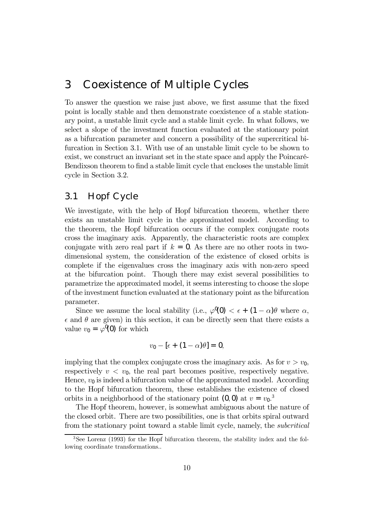## 3 Coexistence of Multiple Cycles

To answer the question we raise just above, we first assume that the fixed point is locally stable and then demonstrate coexistence of a stable stationary point, a unstable limit cycle and a stable limit cycle. In what follows, we select a slope of the investment function evaluated at the stationary point as a bifurcation parameter and concern a possibility of the supercritical bifurcation in Section 3.1. With use of an unstable limit cycle to be shown to exist, we construct an invariant set in the state space and apply the Poincaré-Bendixson theorem to find a stable limit cycle that encloses the unstable limit cycle in Section 3.2.

### 3.1 Hopf Cycle

We investigate, with the help of Hopf bifurcation theorem, whether there exists an unstable limit cycle in the approximated model. According to the theorem, the Hopf bifurcation occurs if the complex conjugate roots cross the imaginary axis. Apparently, the characteristic roots are complex conjugate with zero real part if  $k = 0$ . As there are no other roots in twodimensional system, the consideration of the existence of closed orbits is complete if the eigenvalues cross the imaginary axis with non-zero speed at the bifurcation point. Though there may exist several possibilities to parametrize the approximated model, it seems interesting to choose the slope of the investment function evaluated at the stationary point as the bifurcation parameter.

Since we assume the local stability (i.e.,  $\varphi^{\mathbb{I}}(0) < \epsilon + (1 - \alpha)\theta$  where  $\alpha$ ,  $\epsilon$  and  $\theta$  are given) in this section, it can be directly seen that there exists a value  $v_0 = \varphi^0(0)$  for which

$$
v_0 - [\epsilon + (1 - \alpha)\theta] = 0,
$$

implying that the complex conjugate cross the imaginary axis. As for  $v>v_0$ , respectively  $v < v_0$ , the real part becomes positive, respectively negative. Hence,  $v_0$  is indeed a bifurcation value of the approximated model. According to the Hopf bifurcation theorem, these establishes the existence of closed orbits in a neighborhood of the stationary point  $(0,0)$  at  $v = v_0$ <sup>3</sup>.

The Hopf theorem, however, is somewhat ambiguous about the nature of the closed orbit. There are two possibilities, one is that orbits spiral outward from the stationary point toward a stable limit cycle, namely, the subcritical

<sup>3</sup>See Lorenz (1993) for the Hopf bifurcation theorem, the stability index and the following coordinate transformations..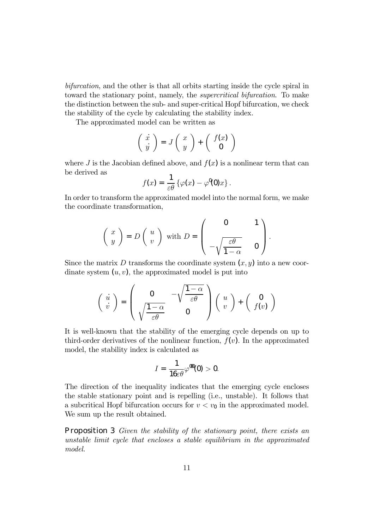bifurcation, and the other is that all orbits starting inside the cycle spiral in toward the stationary point, namely, the supercritical bifurcation. To make the distinction between the sub- and super-critical Hopf bifurcation, we check the stability of the cycle by calculating the stability index.

The approximated model can be written as

$$
\left(\begin{array}{c}\n\dot{x} \\
\dot{y}\n\end{array}\right) = J\left(\begin{array}{c}\nx \\
y\n\end{array}\right) + \left(\begin{array}{c}f(x) \\
0\n\end{array}\right)
$$

where J is the Jacobian defined above, and  $f(x)$  is a nonlinear term that can be derived as

$$
f(x) = \frac{1}{\varepsilon \theta} \left\{ \varphi(x) - \varphi^{0}(0)x \right\}.
$$

In order to transform the approximated model into the normal form, we make the coordinate transformation,

$$
\left(\begin{array}{c} x \\ y \end{array}\right) = D\left(\begin{array}{c} u \\ v \end{array}\right) \text{ with } D = \left(\begin{array}{cc} 0 & 1 \\ -\sqrt{\frac{\varepsilon \theta}{1 - \alpha}} & 0 \end{array}\right).
$$

Since the matrix D transforms the coordinate system  $(x, y)$  into a new coordinate system  $(u, v)$ , the approximated model is put into

$$
\begin{pmatrix}\n\dot{u} \\
\dot{v}\n\end{pmatrix} = \begin{pmatrix}\n0 & -\sqrt{\frac{1-\alpha}{\varepsilon\theta}} \\
\sqrt{\frac{1-\alpha}{\varepsilon\theta}} & 0\n\end{pmatrix} \begin{pmatrix}\nu \\
v\n\end{pmatrix} + \begin{pmatrix}\n0 \\
f(v)\n\end{pmatrix}
$$

It is well-known that the stability of the emerging cycle depends on up to third-order derivatives of the nonlinear function,  $f(v)$ . In the approximated model, the stability index is calculated as

$$
I=\frac{1}{16\varepsilon\theta}\varphi^{000}(0)>0.
$$

The direction of the inequality indicates that the emerging cycle encloses the stable stationary point and is repelling (i.e., unstable). It follows that a subcritical Hopf bifurcation occurs for  $v < v_0$  in the approximated model. We sum up the result obtained.

**Proposition 3** Given the stability of the stationary point, there exists an unstable limit cycle that encloses a stable equilibrium in the approximated model.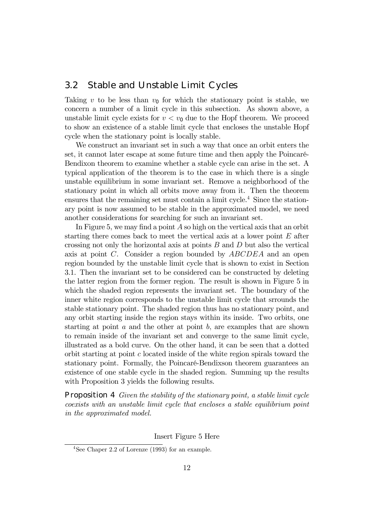### 3.2 Stable and Unstable Limit Cycles

Taking  $v$  to be less than  $v_0$  for which the stationary point is stable, we concern a number of a limit cycle in this subsection. As shown above, a unstable limit cycle exists for  $v < v_0$  due to the Hopf theorem. We proceed to show an existence of a stable limit cycle that encloses the unstable Hopf cycle when the stationary point is locally stable.

We construct an invariant set in such a way that once an orbit enters the set, it cannot later escape at some future time and then apply the Poincaré-Bendixon theorem to examine whether a stable cycle can arise in the set. A typical application of the theorem is to the case in which there is a single unstable equilibrium in some invariant set. Remove a neighborhood of the stationary point in which all orbits move away from it. Then the theorem ensures that the remaining set must contain a limit cycle.<sup>4</sup> Since the stationary point is now assumed to be stable in the approximated model, we need another considerations for searching for such an invariant set.

In Figure 5, we may find a point A so high on the vertical axis that an orbit starting there comes back to meet the vertical axis at a lower point  $E$  after crossing not only the horizontal axis at points  $B$  and  $D$  but also the vertical axis at point C. Consider a region bounded by ABCDEA and an open region bounded by the unstable limit cycle that is shown to exist in Section 3.1. Then the invariant set to be considered can be constructed by deleting the latter region from the former region. The result is shown in Figure 5 in which the shaded region represents the invariant set. The boundary of the inner white region corresponds to the unstable limit cycle that srrounds the stable stationary point. The shaded region thus has no stationary point, and any orbit starting inside the region stays within its inside. Two orbits, one starting at point  $a$  and the other at point  $b$ , are examples that are shown to remain inside of the invariant set and converge to the same limit cycle, illustrated as a bold curve. On the other hand, it can be seen that a dotted orbit starting at point c located inside of the white region spirals toward the stationary point. Formally, the Poincaré-Bendixson theorem guarantees an existence of one stable cycle in the shaded region. Summing up the results with Proposition 3 yields the following results.

Proposition 4 Given the stability of the stationary point, a stable limit cycle coexists with an unstable limit cycle that encloses a stable equilibrium point in the approximated model.

#### Insert Figure 5 Here

<sup>4</sup>See Chaper 2.2 of Lorenze (1993) for an example.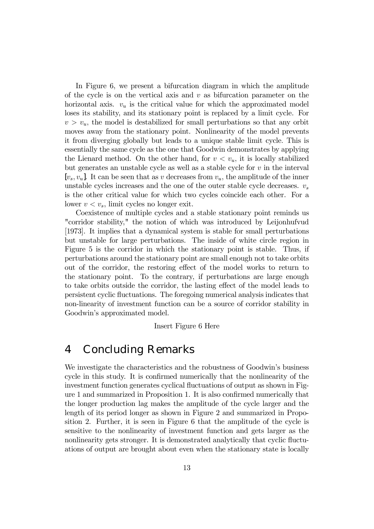In Figure 6, we present a bifurcation diagram in which the amplitude of the cycle is on the vertical axis and  $v$  as bifurcation parameter on the horizontal axis.  $v_u$  is the critical value for which the approximated model loses its stability, and its stationary point is replaced by a limit cycle. For  $v>v_u$ , the model is destabilized for small perturbations so that any orbit moves away from the stationary point. Nonlinearity of the model prevents it from diverging globally but leads to a unique stable limit cycle. This is essentially the same cycle as the one that Goodwin demonstrates by applying the Lienard method. On the other hand, for  $v < v_u$ , it is locally stabilized but generates an unstable cycle as well as a stable cycle for  $v$  in the interval [ $v_s, v_u$ ]. It can be seen that as v decreases from  $v_u$ , the amplitude of the inner unstable cycles increases and the one of the outer stable cycle decreases.  $v_s$ is the other critical value for which two cycles coincide each other. For a lower  $v < v_s$ , limit cycles no longer exit.

Coexistence of multiple cycles and a stable stationary point reminds us "corridor stability," the notion of which was introduced by Leijonhufvud [1973]. It implies that a dynamical system is stable for small perturbations but unstable for large perturbations. The inside of white circle region in Figure 5 is the corridor in which the stationary point is stable. Thus, if perturbations around the stationary point are small enough not to take orbits out of the corridor, the restoring effect of the model works to return to the stationary point. To the contrary, if perturbations are large enough to take orbits outside the corridor, the lasting effect of the model leads to persistent cyclic fluctuations. The foregoing numerical analysis indicates that non-linearity of investment function can be a source of corridor stability in Goodwin's approximated model.

Insert Figure 6 Here

## 4 Concluding Remarks

We investigate the characteristics and the robustness of Goodwin's business cycle in this study. It is confirmed numerically that the nonlinearity of the investment function generates cyclical fluctuations of output as shown in Figure 1 and summarized in Proposition 1. It is also confirmed numerically that the longer production lag makes the amplitude of the cycle larger and the length of its period longer as shown in Figure 2 and summarized in Proposition 2. Further, it is seen in Figure 6 that the amplitude of the cycle is sensitive to the nonlinearity of investment function and gets larger as the nonlinearity gets stronger. It is demonstrated analytically that cyclic fluctuations of output are brought about even when the stationary state is locally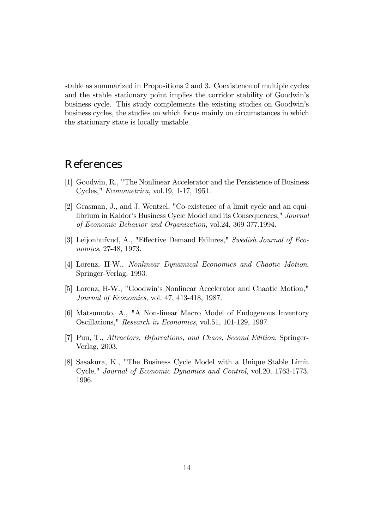stable as summarized in Propositions 2 and 3. Coexistence of multiple cycles and the stable stationary point implies the corridor stability of Goodwin's business cycle. This study complements the existing studies on Goodwin's business cycles, the studies on which focus mainly on circumstances in which the stationary state is locally unstable.

## References

- [1] Goodwin, R., "The Nonlinear Accelerator and the Persistence of Business Cycles," Econometrica, vol.19, 1-17, 1951.
- [2] Grasman, J., and J. Wentzel, "Co-existence of a limit cycle and an equilibrium in Kaldor's Business Cycle Model and its Consequences," Journal of Economic Behavior and Organization, vol.24, 369-377,1994.
- [3] Leijonhufvud, A., "Effective Demand Failures," Swedish Journal of Economics, 27-48, 1973.
- [4] Lorenz, H-W., Nonlinear Dynamical Economics and Chaotic Motion, Springer-Verlag, 1993.
- [5] Lorenz, H-W., "Goodwin's Nonlinear Accelerator and Chaotic Motion," Journal of Economics, vol. 47, 413-418, 1987.
- [6] Matsumoto, A., "A Non-linear Macro Model of Endogenous Inventory Oscillations," Research in Economics, vol.51, 101-129, 1997.
- [7] Puu, T., Attractors, Bifurcations, and Chaos, Second Edition, Springer-Verlag, 2003.
- [8] Sasakura, K., "The Business Cycle Model with a Unique Stable Limit Cycle," Journal of Economic Dynamics and Control, vol.20, 1763-1773, 1996.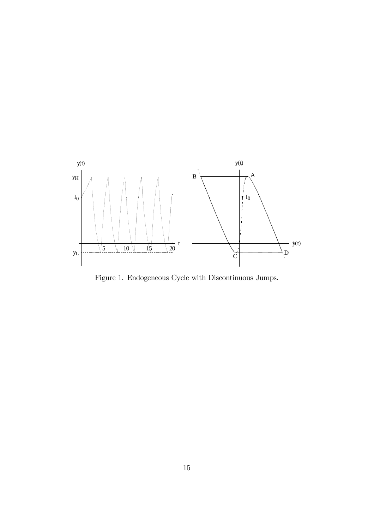

Figure 1. Endogeneous Cycle with Discontinuous Jumps.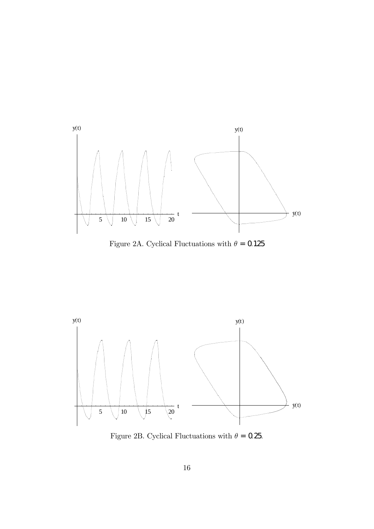

Figure 2A. Cyclical Fluctuations with  $\theta=0.125$ 



Figure 2B. Cyclical Fluctuations with  $\theta$  = 0.25.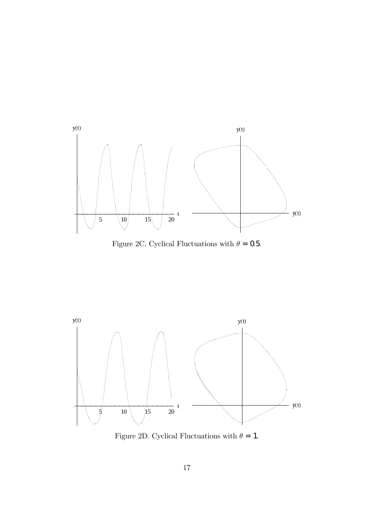

Figure 2C. Cyclical Fluctuations with  $\theta$  = 0.5.



Figure 2D. Cyclical Fluctuations with  $\theta = 1$ .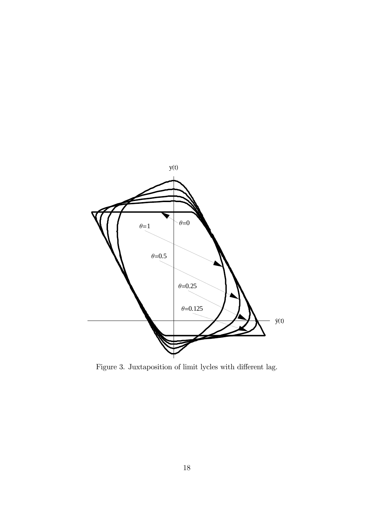

Figure 3. Juxtaposition of limit lycles with different lag.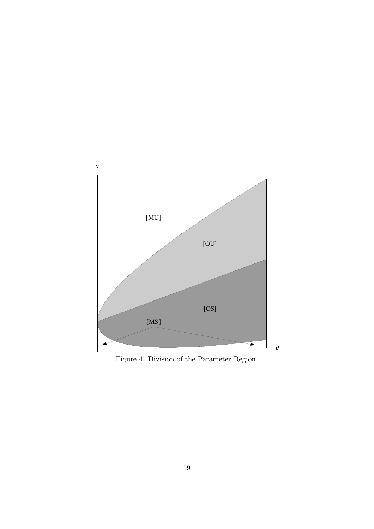

Figure 4. Division of the Parameter Region.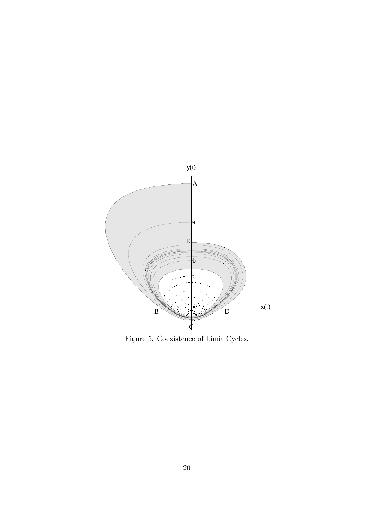

Figure 5. Coexistence of Limit Cycles.